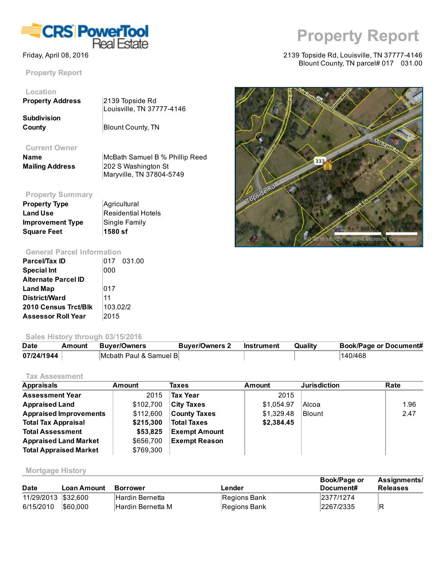

Property Report

# Location

| <b>Property Address</b> | $ 2139$ Topside Rd        |
|-------------------------|---------------------------|
|                         | Louisville, TN 37777-4146 |
| <b>Subdivision</b>      |                           |
| County                  | <b>Blount County, TN</b>  |

#### Current Owner

| <b>Name</b>            | McB       |
|------------------------|-----------|
| <b>Mailing Address</b> | 202       |
|                        | $1.1 - 1$ |

ath Samuel B % Phillip Reed S Washington St Maryville, TN 37804-5749

## Property Summary

| <b>Property Type</b>    | Agricultural              |
|-------------------------|---------------------------|
| <b>Land Use</b>         | <b>Residential Hotels</b> |
| <b>Improvement Type</b> | Single Family             |
| <b>Square Feet</b>      | ∣1580 sf                  |

#### General Parcel Information

| <b>Parcel/Tax ID</b>        |          | 017 031.00 |
|-----------------------------|----------|------------|
| <b>Special Int</b>          | 000      |            |
| <b>Alternate Parcel ID</b>  |          |            |
| Land Map                    | 017      |            |
| District/Ward               | 11       |            |
| <b>2010 Census Trct/Blk</b> | 103.02/2 |            |
| <b>Assessor Roll Year</b>   | 2015     |            |

#### Sales History through 03/15/2016

| <b>Date</b> | Amount | Buver/Owners           | <b>Buver/Owners 2</b> | Instrument | Quality | <b>Book/Page or Document#</b> |
|-------------|--------|------------------------|-----------------------|------------|---------|-------------------------------|
| 07/24/1944  |        | Mcbath Paul & Samuel B |                       |            |         | 140/468                       |

#### Tax Assessment

| <b>Appraisals</b>             | Amount    | <b>Taxes</b>         | Amount     | <b>Jurisdiction</b> | Rate |
|-------------------------------|-----------|----------------------|------------|---------------------|------|
| <b>Assessment Year</b>        | 2015      | <b>Tax Year</b>      | 2015       |                     |      |
| <b>Appraised Land</b>         | \$102,700 | <b>City Taxes</b>    | \$1.054.97 | Alcoa               | 1.96 |
| <b>Appraised Improvements</b> | \$112,600 | <b>County Taxes</b>  | \$1,329.48 | <b>Blount</b>       | 2.47 |
| <b>Total Tax Appraisal</b>    | \$215,300 | <b>Total Taxes</b>   | \$2,384.45 |                     |      |
| <b>Total Assessment</b>       | \$53,825  | <b>Exempt Amount</b> |            |                     |      |
| <b>Appraised Land Market</b>  | \$656,700 | <b>Exempt Reason</b> |            |                     |      |
| <b>Total Appraised Market</b> | \$769.300 |                      |            |                     |      |

#### Mortgage History

| <b>Date</b>         | Loan Amount | <b>Borrower</b>        | Lender       | Book/Page or<br>Document# | <b>Assignments/</b><br><b>Releases</b> |
|---------------------|-------------|------------------------|--------------|---------------------------|----------------------------------------|
| 11/29/2013 \$32,600 |             | <b>Hardin Bernetta</b> | Regions Bank | 2377/1274                 |                                        |
| 6/15/2010           | 560,000     | Hardin Bernetta M      | Regions Bank | 2267/2335                 | IR                                     |

# Property Report

#### Friday, April 08, 2016 2139 Topside Rd, Louisville, TN 37777-4146 Blount County, TN parcel# 017 031.00

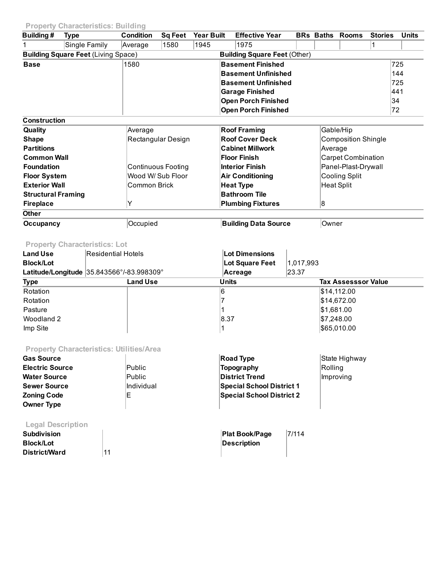### Property Characteristics: Building

| Building#                 | Type                                       | <b>Condition</b> | Sa Feet                   | <b>Year Built</b> | <b>Effective Year</b>               | <b>BRs Baths</b>           | <b>Rooms</b>              | <b>Stories</b> | <b>Units</b> |
|---------------------------|--------------------------------------------|------------------|---------------------------|-------------------|-------------------------------------|----------------------------|---------------------------|----------------|--------------|
|                           | Single Family                              | Average          | 1580                      | 1945              | 1975                                |                            |                           |                |              |
|                           | <b>Building Square Feet (Living Space)</b> |                  |                           |                   | <b>Building Square Feet (Other)</b> |                            |                           |                |              |
| <b>Base</b>               |                                            | 1580             |                           |                   | <b>Basement Finished</b>            |                            |                           |                | 725          |
|                           |                                            |                  |                           |                   | <b>Basement Unfinished</b>          |                            |                           |                | 144          |
|                           |                                            |                  |                           |                   | <b>Basement Unfinished</b>          |                            |                           |                | 725          |
|                           |                                            |                  |                           |                   | <b>Garage Finished</b>              |                            |                           |                | 441          |
|                           |                                            |                  |                           |                   | <b>Open Porch Finished</b>          |                            |                           |                | 34           |
|                           |                                            |                  |                           |                   | <b>Open Porch Finished</b>          |                            |                           |                | 72           |
| <b>Construction</b>       |                                            |                  |                           |                   |                                     |                            |                           |                |              |
| Quality                   |                                            | Average          |                           |                   | <b>Roof Framing</b>                 |                            | Gable/Hip                 |                |              |
| <b>Shape</b>              |                                            |                  | Rectangular Design        |                   | <b>Roof Cover Deck</b>              | <b>Composition Shingle</b> |                           |                |              |
| <b>Partitions</b>         |                                            |                  |                           |                   | <b>Cabinet Millwork</b>             | Average                    |                           |                |              |
| <b>Common Wall</b>        |                                            |                  |                           |                   | Floor Finish                        |                            | <b>Carpet Combination</b> |                |              |
| <b>Foundation</b>         |                                            |                  | <b>Continuous Footing</b> |                   | <b>Interior Finish</b>              |                            | Panel-Plast-Drywall       |                |              |
| <b>Floor System</b>       |                                            |                  | Wood W/ Sub Floor         |                   | <b>Air Conditioning</b>             |                            | Cooling Split             |                |              |
| <b>Exterior Wall</b>      |                                            | Common Brick     |                           |                   | <b>Heat Type</b>                    |                            | <b>Heat Split</b>         |                |              |
| <b>Structural Framing</b> |                                            |                  |                           |                   | <b>Bathroom Tile</b>                |                            |                           |                |              |
| <b>Fireplace</b>          |                                            | Y                |                           |                   | <b>Plumbing Fixtures</b>            | 18                         |                           |                |              |
| <b>Other</b>              |                                            |                  |                           |                   |                                     |                            |                           |                |              |
| Occupancy                 |                                            | Occupied         |                           |                   | <b>Building Data Source</b>         | Owner                      |                           |                |              |

# Property Characteristics: Lot

| <b>Land Use</b>  | Residential Hotels                        | Lot Dimensions  |                            |
|------------------|-------------------------------------------|-----------------|----------------------------|
| <b>Block/Lot</b> |                                           | Lot Square Feet | 1,017,993                  |
|                  | Latitude/Longitude 35.843566°/-83.998309° | Acreage         | 23.37                      |
| <b>Type</b>      | <b>Land Use</b>                           | <b>Units</b>    | <b>Tax Assesssor Value</b> |
| Rotation         |                                           | 16              | \$14,112.00                |
| Rotation         |                                           |                 | \$14,672.00                |
| Pasture          |                                           |                 | \$1,681.00                 |
| Woodland 2       |                                           | 8.37            | \$7,248.00                 |
| Imp Site         |                                           |                 | \$65,010.00                |
|                  |                                           |                 |                            |

# Property Characteristics: Utilities/Area

| <b>Gas Source</b>                 | <b>Road Type</b>                 | State Highway |
|-----------------------------------|----------------------------------|---------------|
| Public<br><b>Electric Source</b>  | Topography                       | Rolling       |
| Public<br><b>Water Source</b>     | <b>District Trend</b>            | Improving     |
| Individual<br><b>Sewer Source</b> | <b>Special School District 1</b> |               |
| Е<br><b>Zoning Code</b>           | <b>Special School District 2</b> |               |
| <b>Owner Type</b>                 |                                  |               |

# Legal Description

| <b>Subdivision</b> |    | <b>Plat Book/Page</b> | 7/114 |
|--------------------|----|-----------------------|-------|
| <b>Block/Lot</b>   |    | Description           |       |
| District/Ward      | 11 |                       |       |